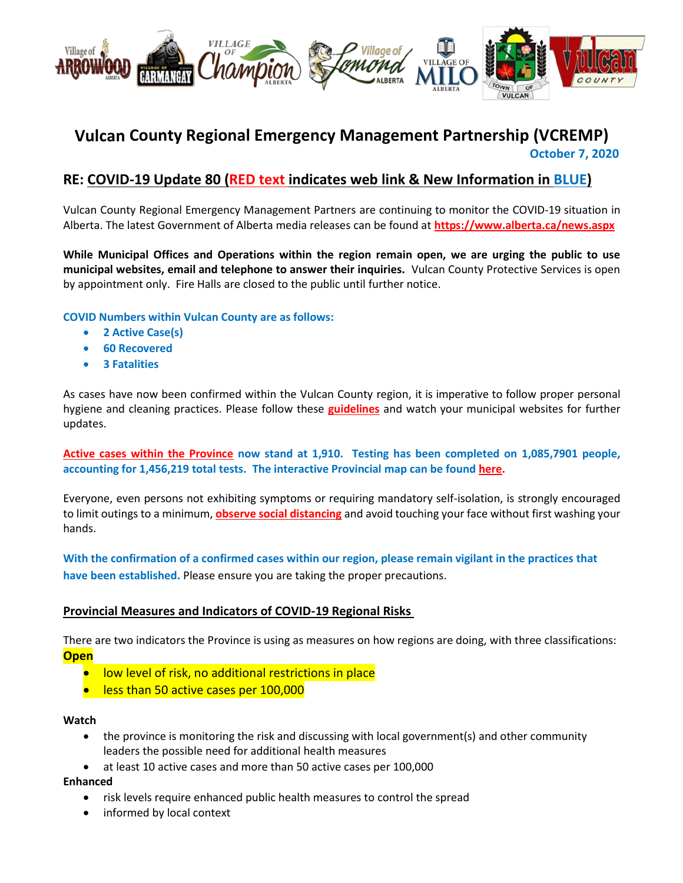

# **Vulcan County Regional Emergency Management Partnership (VCREMP) October 7, 2020**

# **RE: COVID-19 Update 80 (RED text indicates web link & New Information in BLUE)**

Vulcan County Regional Emergency Management Partners are continuing to monitor the COVID-19 situation in Alberta. The latest Government of Alberta media releases can be found at **<https://www.alberta.ca/news.aspx>**

**While Municipal Offices and Operations within the region remain open, we are urging the public to use municipal websites, email and telephone to answer their inquiries.** Vulcan County Protective Services is open by appointment only. Fire Halls are closed to the public until further notice.

**COVID Numbers within Vulcan County are as follows:**

- **2 Active Case(s)**
- **60 Recovered**
- **3 Fatalities**

As cases have now been confirmed within the Vulcan County region, it is imperative to follow proper personal hygiene and cleaning practices. Please follow these **[guidelines](https://www.albertahealthservices.ca/topics/Page16997.aspx#sign)** and watch your municipal websites for further updates.

**[Active cases within the Province](https://www.alberta.ca/stats/covid-19-alberta-statistics.htm) now stand at 1,910. Testing has been completed on 1,085,7901 people, accounting for 1,456,219 total tests. The interactive Provincial map can be found [here.](https://www.alberta.ca/stats/covid-19-alberta-statistics.htm)**

Everyone, even persons not exhibiting symptoms or requiring mandatory self-isolation, is strongly encouraged to limit outings to a minimum, **[observe social distancing](https://www.albertahealthservices.ca/topics/Page17008.aspx)** and avoid touching your face without first washing your hands.

**With the confirmation of a confirmed cases within our region, please remain vigilant in the practices that have been established.** Please ensure you are taking the proper precautions.

#### **Provincial Measures and Indicators of COVID-19 Regional Risks**

There are two indicators the Province is using as measures on how regions are doing, with three classifications: **Open**

- **•** low level of risk, no additional restrictions in place
- **e** less than 50 active cases per 100,000

#### **Watch**

- the province is monitoring the risk and discussing with local government(s) and other community leaders the possible need for additional health measures
- at least 10 active cases and more than 50 active cases per 100,000

#### **Enhanced**

- risk levels require enhanced public health measures to control the spread
- informed by local context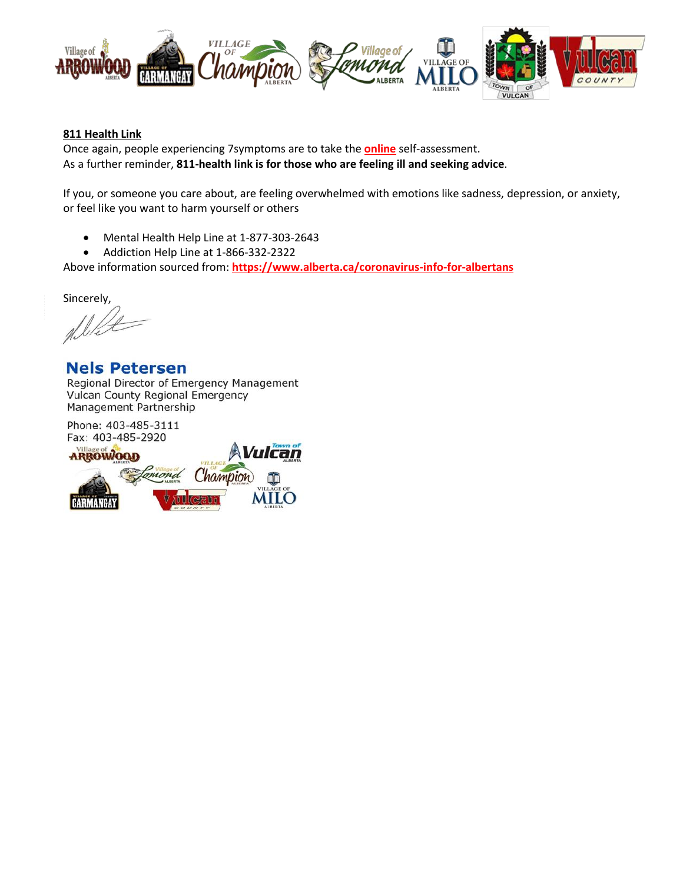

#### **811 Health Link**

Once again, people experiencing 7symptoms are to take the **[online](https://myhealth.alberta.ca/Journey/COVID-19/Pages/COVID-Self-Assessment.aspx)** self-assessment. As a further reminder, **811-health link is for those who are feeling ill and seeking advice**.

If you, or someone you care about, are feeling overwhelmed with emotions like sadness, depression, or anxiety, or feel like you want to harm yourself or others

- Mental Health Help Line at 1-877-303-2643
- Addiction Help Line at 1-866-332-2322

Above information sourced from: **https://www.alberta.ca/coronavirus-info-for-albertans**

Sincerely,

**Nels Petersen** Regional Director of Emergency Management **Vulcan County Regional Emergency** Management Partnership

Phone: 403-485-3111 Fax: 403-485-2920

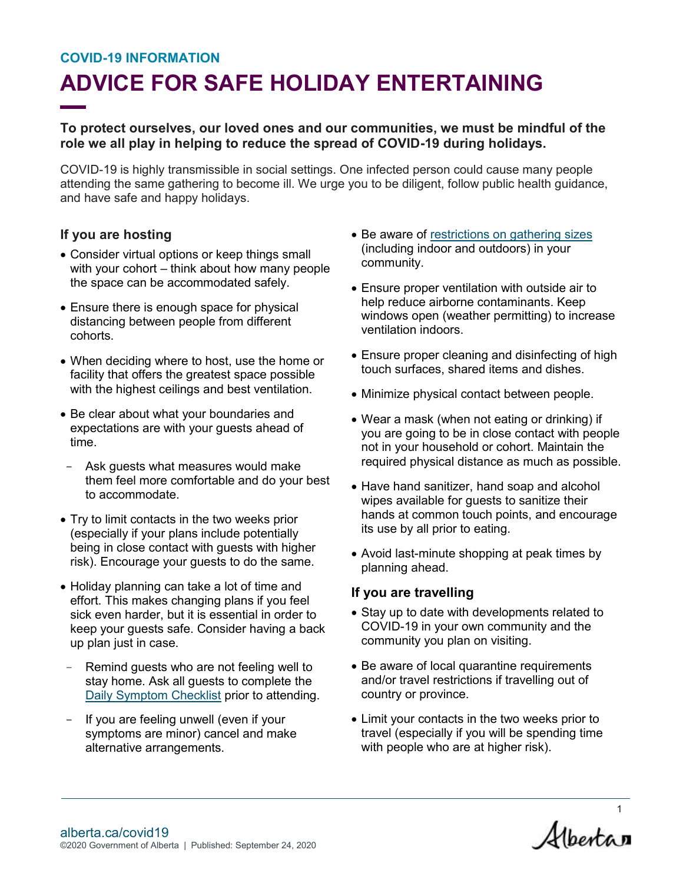#### **COVID-19 INFORMATION**

# **ADVICE FOR SAFE HOLIDAY ENTERTAINING**

### **To protect ourselves, our loved ones and our communities, we must be mindful of the role we all play in helping to reduce the spread of COVID-19 during holidays.**

COVID-19 is highly transmissible in social settings. One infected person could cause many people attending the same gathering to become ill. We urge you to be diligent, follow public health guidance, and have safe and happy holidays.

### **If you are hosting**

- Consider virtual options or keep things small with your cohort – think about how many people the space can be accommodated safely.
- Ensure there is enough space for physical distancing between people from different cohorts.
- When deciding where to host, use the home or facility that offers the greatest space possible with the highest ceilings and best ventilation.
- Be clear about what your boundaries and expectations are with your guests ahead of time.
- Ask guests what measures would make them feel more comfortable and do your best to accommodate.
- Try to limit contacts in the two weeks prior (especially if your plans include potentially being in close contact with guests with higher risk). Encourage your guests to do the same.
- Holiday planning can take a lot of time and effort. This makes changing plans if you feel sick even harder, but it is essential in order to keep your guests safe. Consider having a back up plan just in case.
- Remind guests who are not feeling well to stay home. Ask all guests to complete the [Daily Symptom Checklist](https://open.alberta.ca/dataset/56c020ed-1782-4c6c-bfdd-5af36754471f/resource/6607784e-b42e-46c2-ba76-031c3b0217c5/download/covid-19-relaunch-daily-checklist.pdf) prior to attending.
- If you are feeling unwell (even if your symptoms are minor) cancel and make alternative arrangements.
- Be aware of restrictions [on gathering sizes](https://www.alberta.ca/restrictions-on-gatherings.aspx#:~:text=50%2Dperson%20limit%20on%20indoor,people%20is%20difficult%20to%20maintain.) (including indoor and outdoors) in your community.
- Ensure proper ventilation with outside air to help reduce airborne contaminants. Keep windows open (weather permitting) to increase ventilation indoors.
- Ensure proper cleaning and disinfecting of high touch surfaces, shared items and dishes.
- Minimize physical contact between people.
- Wear a mask (when not eating or drinking) if you are going to be in close contact with people not in your household or cohort. Maintain the required physical distance as much as possible.
- Have hand sanitizer, hand soap and alcohol wipes available for guests to sanitize their hands at common touch points, and encourage its use by all prior to eating.
- Avoid last-minute shopping at peak times by planning ahead.

### **If you are travelling**

- Stay up to date with developments related to COVID-19 in your own community and the community you plan on visiting.
- Be aware of local quarantine requirements and/or travel restrictions if travelling out of country or province.
- Limit your contacts in the two weeks prior to travel (especially if you will be spending time with people who are at higher risk).

Albertan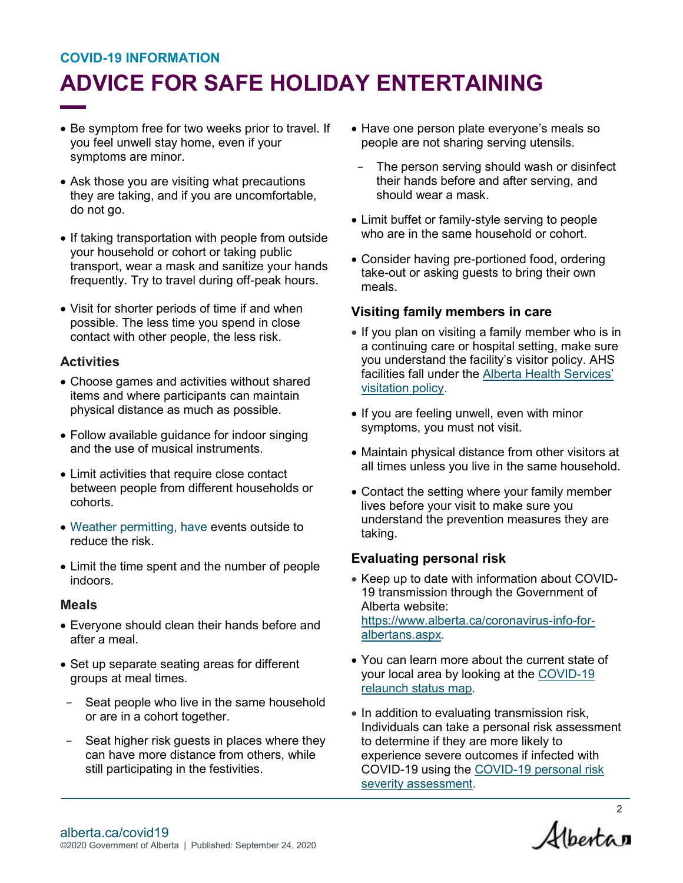# **COVID-19 INFORMATION ADVICE FOR SAFE HOLIDAY ENTERTAINING**

- Be symptom free for two weeks prior to travel. If you feel unwell stay home, even if your symptoms are minor.
- Ask those you are visiting what precautions they are taking, and if you are uncomfortable, do not go.
- If taking transportation with people from outside your household or cohort or taking public transport, wear a mask and sanitize your hands frequently. Try to travel during off-peak hours.
- Visit for shorter periods of time if and when possible. The less time you spend in close contact with other people, the less risk.

# **Activities**

- Choose games and activities without shared items and where participants can maintain physical distance as much as possible.
- Follow available guidance for indoor singing and the use of musical instruments.
- Limit activities that require close contact between people from different households or cohorts.
- Weather permitting, have events outside to reduce the risk.
- Limit the time spent and the number of people indoors.

### **Meals**

- Everyone should clean their hands before and after a meal.
- Set up separate seating areas for different groups at meal times.
- Seat people who live in the same household or are in a cohort together.
- Seat higher risk guests in places where they can have more distance from others, while still participating in the festivities.
- Have one person plate everyone's meals so people are not sharing serving utensils.
- The person serving should wash or disinfect their hands before and after serving, and should wear a mask.
- Limit buffet or family-style serving to people who are in the same household or cohort.
- Consider having pre-portioned food, ordering take-out or asking guests to bring their own meals.

# **Visiting family members in care**

- If you plan on visiting a family member who is in a continuing care or hospital setting, make sure you understand the facility's visitor policy. AHS facilities fall under the [Alberta Health Services'](https://www.albertahealthservices.ca/topics/Page17001.aspx#:~:text=Be%2014%20years%20of%20age%20and%20older%20OR%20accompanied%20by%20an%20adult.&text=For%20continuing%20care%2C%20children%20under,and%20out%20of%20all%20visits.)  [visitation policy.](https://www.albertahealthservices.ca/topics/Page17001.aspx#:~:text=Be%2014%20years%20of%20age%20and%20older%20OR%20accompanied%20by%20an%20adult.&text=For%20continuing%20care%2C%20children%20under,and%20out%20of%20all%20visits.)
- If you are feeling unwell, even with minor symptoms, you must not visit.
- Maintain physical distance from other visitors at all times unless you live in the same household.
- Contact the setting where your family member lives before your visit to make sure you understand the prevention measures they are taking.

### **Evaluating personal risk**

- Keep up to date with information about COVID-19 transmission through the Government of Alberta website: [https://www.alberta.ca/coronavirus-info-for](https://www.alberta.ca/coronavirus-info-for-albertans.aspx)[albertans.aspx.](https://www.alberta.ca/coronavirus-info-for-albertans.aspx)
- You can learn more about the current state of your local area by looking at the [COVID-19](https://www.alberta.ca/maps/covid-19-status-map.htm)  [relaunch status map.](https://www.alberta.ca/maps/covid-19-status-map.htm)
- In addition to evaluating transmission risk, Individuals can take a personal risk assessment to determine if they are more likely to experience severe outcomes if infected with COVID-19 using the [COVID-19 personal risk](https://www.alberta.ca/lookup/COVID-19-personal-risk-severity-assessment.aspx)  [severity assessment.](https://www.alberta.ca/lookup/COVID-19-personal-risk-severity-assessment.aspx)

<sup>2</sup><br>Albertan